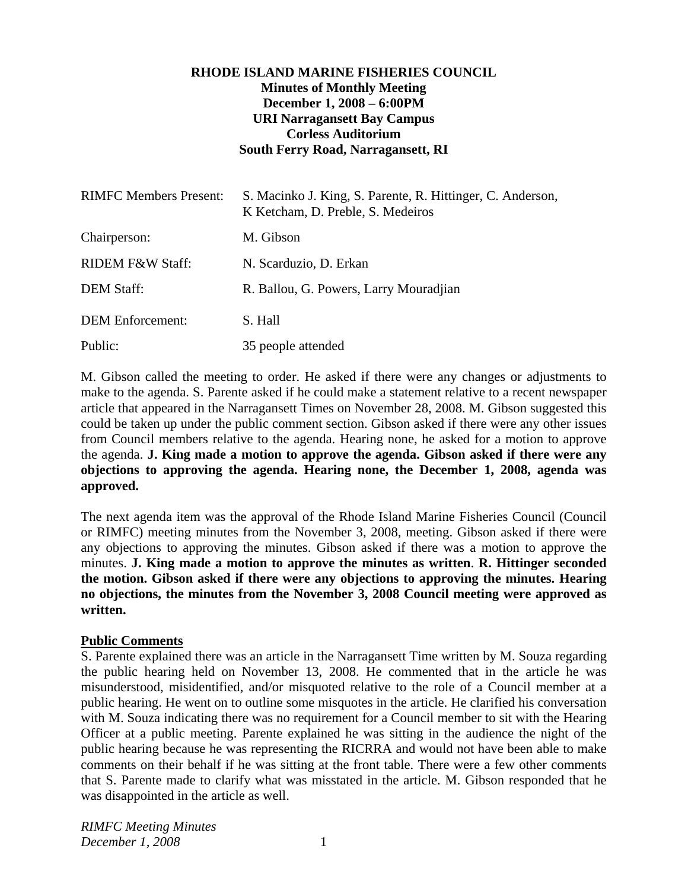# **RHODE ISLAND MARINE FISHERIES COUNCIL Minutes of Monthly Meeting December 1, 2008 – 6:00PM URI Narragansett Bay Campus Corless Auditorium South Ferry Road, Narragansett, RI**

| <b>RIMFC Members Present:</b> | S. Macinko J. King, S. Parente, R. Hittinger, C. Anderson,<br>K Ketcham, D. Preble, S. Medeiros |
|-------------------------------|-------------------------------------------------------------------------------------------------|
| Chairperson:                  | M. Gibson                                                                                       |
| <b>RIDEM F&amp;W Staff:</b>   | N. Scarduzio, D. Erkan                                                                          |
| <b>DEM Staff:</b>             | R. Ballou, G. Powers, Larry Mouradjian                                                          |
| <b>DEM</b> Enforcement:       | S. Hall                                                                                         |
| Public:                       | 35 people attended                                                                              |

M. Gibson called the meeting to order. He asked if there were any changes or adjustments to make to the agenda. S. Parente asked if he could make a statement relative to a recent newspaper article that appeared in the Narragansett Times on November 28, 2008. M. Gibson suggested this could be taken up under the public comment section. Gibson asked if there were any other issues from Council members relative to the agenda. Hearing none, he asked for a motion to approve the agenda. **J. King made a motion to approve the agenda. Gibson asked if there were any objections to approving the agenda. Hearing none, the December 1, 2008, agenda was approved.**

The next agenda item was the approval of the Rhode Island Marine Fisheries Council (Council or RIMFC) meeting minutes from the November 3, 2008, meeting. Gibson asked if there were any objections to approving the minutes. Gibson asked if there was a motion to approve the minutes. **J. King made a motion to approve the minutes as written**. **R. Hittinger seconded the motion. Gibson asked if there were any objections to approving the minutes. Hearing no objections, the minutes from the November 3, 2008 Council meeting were approved as written.** 

#### **Public Comments**

S. Parente explained there was an article in the Narragansett Time written by M. Souza regarding the public hearing held on November 13, 2008. He commented that in the article he was misunderstood, misidentified, and/or misquoted relative to the role of a Council member at a public hearing. He went on to outline some misquotes in the article. He clarified his conversation with M. Souza indicating there was no requirement for a Council member to sit with the Hearing Officer at a public meeting. Parente explained he was sitting in the audience the night of the public hearing because he was representing the RICRRA and would not have been able to make comments on their behalf if he was sitting at the front table. There were a few other comments that S. Parente made to clarify what was misstated in the article. M. Gibson responded that he was disappointed in the article as well.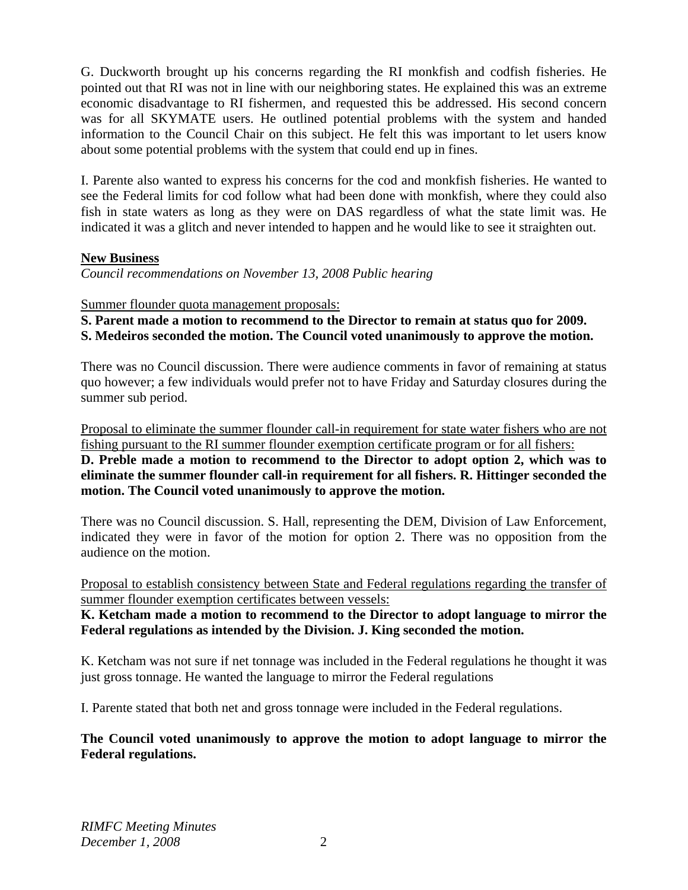G. Duckworth brought up his concerns regarding the RI monkfish and codfish fisheries. He pointed out that RI was not in line with our neighboring states. He explained this was an extreme economic disadvantage to RI fishermen, and requested this be addressed. His second concern was for all SKYMATE users. He outlined potential problems with the system and handed information to the Council Chair on this subject. He felt this was important to let users know about some potential problems with the system that could end up in fines.

I. Parente also wanted to express his concerns for the cod and monkfish fisheries. He wanted to see the Federal limits for cod follow what had been done with monkfish, where they could also fish in state waters as long as they were on DAS regardless of what the state limit was. He indicated it was a glitch and never intended to happen and he would like to see it straighten out.

# **New Business**

*Council recommendations on November 13, 2008 Public hearing* 

Summer flounder quota management proposals:

**S. Parent made a motion to recommend to the Director to remain at status quo for 2009. S. Medeiros seconded the motion. The Council voted unanimously to approve the motion.** 

There was no Council discussion. There were audience comments in favor of remaining at status quo however; a few individuals would prefer not to have Friday and Saturday closures during the summer sub period.

Proposal to eliminate the summer flounder call-in requirement for state water fishers who are not fishing pursuant to the RI summer flounder exemption certificate program or for all fishers:

**D. Preble made a motion to recommend to the Director to adopt option 2, which was to eliminate the summer flounder call-in requirement for all fishers. R. Hittinger seconded the motion. The Council voted unanimously to approve the motion.** 

There was no Council discussion. S. Hall, representing the DEM, Division of Law Enforcement, indicated they were in favor of the motion for option 2. There was no opposition from the audience on the motion.

Proposal to establish consistency between State and Federal regulations regarding the transfer of summer flounder exemption certificates between vessels:

**K. Ketcham made a motion to recommend to the Director to adopt language to mirror the Federal regulations as intended by the Division. J. King seconded the motion.** 

K. Ketcham was not sure if net tonnage was included in the Federal regulations he thought it was just gross tonnage. He wanted the language to mirror the Federal regulations

I. Parente stated that both net and gross tonnage were included in the Federal regulations.

**The Council voted unanimously to approve the motion to adopt language to mirror the Federal regulations.**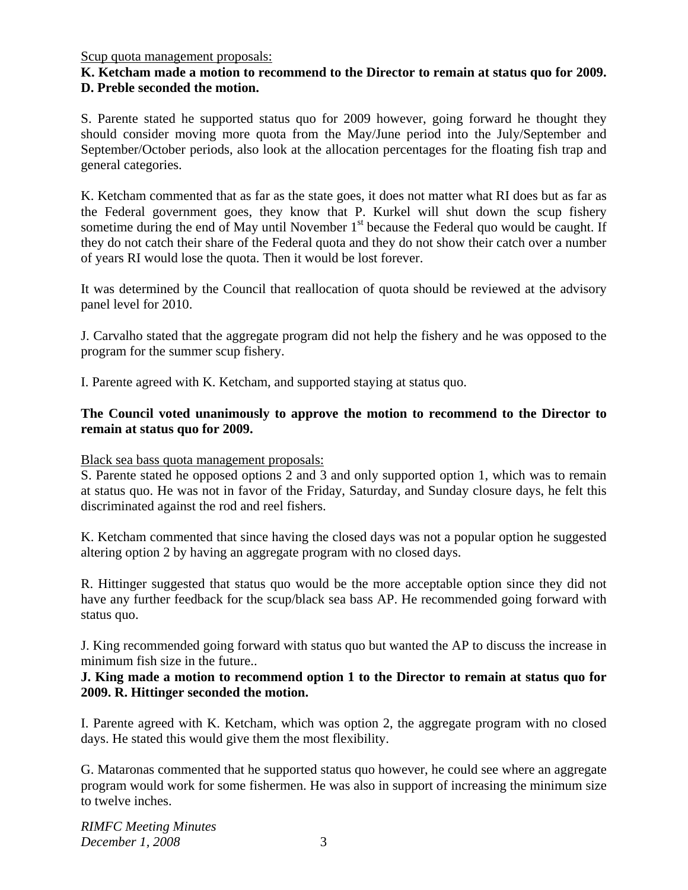Scup quota management proposals:

### **K. Ketcham made a motion to recommend to the Director to remain at status quo for 2009. D. Preble seconded the motion.**

S. Parente stated he supported status quo for 2009 however, going forward he thought they should consider moving more quota from the May/June period into the July/September and September/October periods, also look at the allocation percentages for the floating fish trap and general categories.

K. Ketcham commented that as far as the state goes, it does not matter what RI does but as far as the Federal government goes, they know that P. Kurkel will shut down the scup fishery sometime during the end of May until November  $1<sup>st</sup>$  because the Federal quo would be caught. If they do not catch their share of the Federal quota and they do not show their catch over a number of years RI would lose the quota. Then it would be lost forever.

It was determined by the Council that reallocation of quota should be reviewed at the advisory panel level for 2010.

J. Carvalho stated that the aggregate program did not help the fishery and he was opposed to the program for the summer scup fishery.

I. Parente agreed with K. Ketcham, and supported staying at status quo.

## **The Council voted unanimously to approve the motion to recommend to the Director to remain at status quo for 2009.**

Black sea bass quota management proposals:

S. Parente stated he opposed options 2 and 3 and only supported option 1, which was to remain at status quo. He was not in favor of the Friday, Saturday, and Sunday closure days, he felt this discriminated against the rod and reel fishers.

K. Ketcham commented that since having the closed days was not a popular option he suggested altering option 2 by having an aggregate program with no closed days.

R. Hittinger suggested that status quo would be the more acceptable option since they did not have any further feedback for the scup/black sea bass AP. He recommended going forward with status quo.

J. King recommended going forward with status quo but wanted the AP to discuss the increase in minimum fish size in the future..

**J. King made a motion to recommend option 1 to the Director to remain at status quo for 2009. R. Hittinger seconded the motion.**

I. Parente agreed with K. Ketcham, which was option 2, the aggregate program with no closed days. He stated this would give them the most flexibility.

G. Mataronas commented that he supported status quo however, he could see where an aggregate program would work for some fishermen. He was also in support of increasing the minimum size to twelve inches.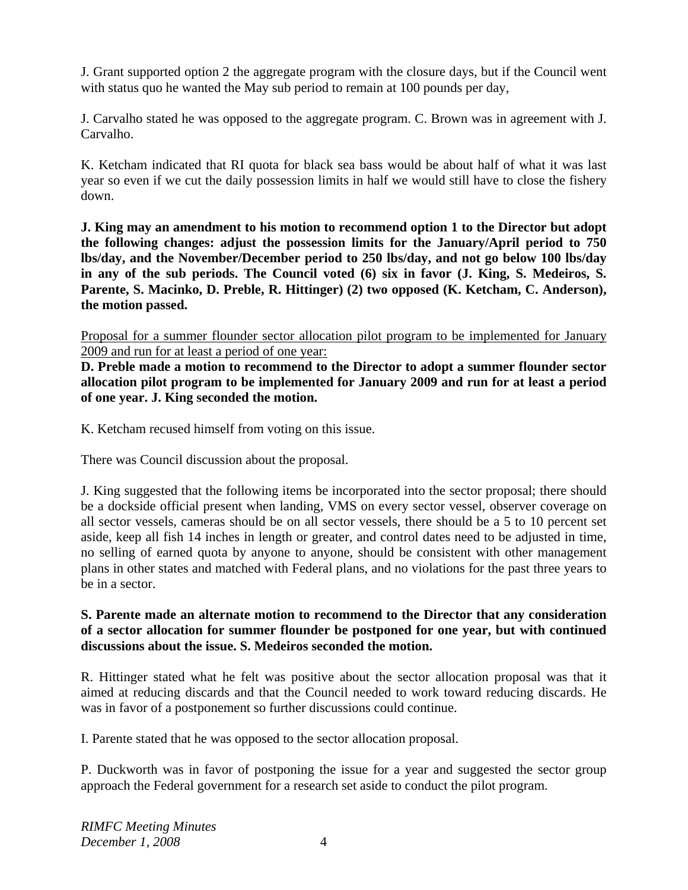J. Grant supported option 2 the aggregate program with the closure days, but if the Council went with status quo he wanted the May sub period to remain at 100 pounds per day,

J. Carvalho stated he was opposed to the aggregate program. C. Brown was in agreement with J. Carvalho.

K. Ketcham indicated that RI quota for black sea bass would be about half of what it was last year so even if we cut the daily possession limits in half we would still have to close the fishery down.

**J. King may an amendment to his motion to recommend option 1 to the Director but adopt the following changes: adjust the possession limits for the January/April period to 750 lbs/day, and the November/December period to 250 lbs/day, and not go below 100 lbs/day in any of the sub periods. The Council voted (6) six in favor (J. King, S. Medeiros, S. Parente, S. Macinko, D. Preble, R. Hittinger) (2) two opposed (K. Ketcham, C. Anderson), the motion passed.**

Proposal for a summer flounder sector allocation pilot program to be implemented for January 2009 and run for at least a period of one year:

**D. Preble made a motion to recommend to the Director to adopt a summer flounder sector allocation pilot program to be implemented for January 2009 and run for at least a period of one year. J. King seconded the motion.** 

K. Ketcham recused himself from voting on this issue.

There was Council discussion about the proposal.

J. King suggested that the following items be incorporated into the sector proposal; there should be a dockside official present when landing, VMS on every sector vessel, observer coverage on all sector vessels, cameras should be on all sector vessels, there should be a 5 to 10 percent set aside, keep all fish 14 inches in length or greater, and control dates need to be adjusted in time, no selling of earned quota by anyone to anyone, should be consistent with other management plans in other states and matched with Federal plans, and no violations for the past three years to be in a sector.

### **S. Parente made an alternate motion to recommend to the Director that any consideration of a sector allocation for summer flounder be postponed for one year, but with continued discussions about the issue. S. Medeiros seconded the motion.**

R. Hittinger stated what he felt was positive about the sector allocation proposal was that it aimed at reducing discards and that the Council needed to work toward reducing discards. He was in favor of a postponement so further discussions could continue.

I. Parente stated that he was opposed to the sector allocation proposal.

P. Duckworth was in favor of postponing the issue for a year and suggested the sector group approach the Federal government for a research set aside to conduct the pilot program.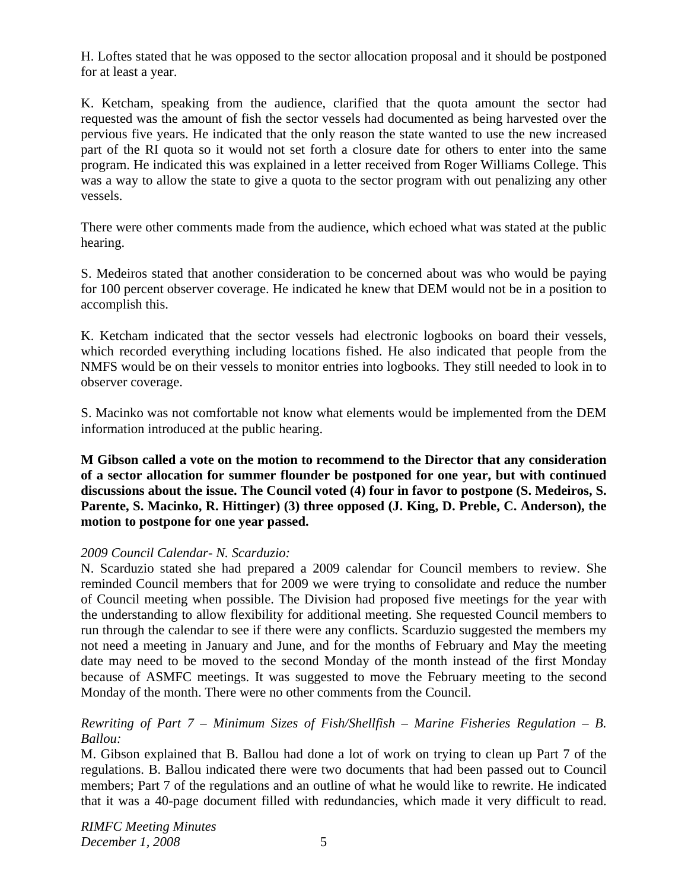H. Loftes stated that he was opposed to the sector allocation proposal and it should be postponed for at least a year.

K. Ketcham, speaking from the audience, clarified that the quota amount the sector had requested was the amount of fish the sector vessels had documented as being harvested over the pervious five years. He indicated that the only reason the state wanted to use the new increased part of the RI quota so it would not set forth a closure date for others to enter into the same program. He indicated this was explained in a letter received from Roger Williams College. This was a way to allow the state to give a quota to the sector program with out penalizing any other vessels.

There were other comments made from the audience, which echoed what was stated at the public hearing.

S. Medeiros stated that another consideration to be concerned about was who would be paying for 100 percent observer coverage. He indicated he knew that DEM would not be in a position to accomplish this.

K. Ketcham indicated that the sector vessels had electronic logbooks on board their vessels, which recorded everything including locations fished. He also indicated that people from the NMFS would be on their vessels to monitor entries into logbooks. They still needed to look in to observer coverage.

S. Macinko was not comfortable not know what elements would be implemented from the DEM information introduced at the public hearing.

**M Gibson called a vote on the motion to recommend to the Director that any consideration of a sector allocation for summer flounder be postponed for one year, but with continued discussions about the issue. The Council voted (4) four in favor to postpone (S. Medeiros, S. Parente, S. Macinko, R. Hittinger) (3) three opposed (J. King, D. Preble, C. Anderson), the motion to postpone for one year passed.**

#### *2009 Council Calendar- N. Scarduzio:*

N. Scarduzio stated she had prepared a 2009 calendar for Council members to review. She reminded Council members that for 2009 we were trying to consolidate and reduce the number of Council meeting when possible. The Division had proposed five meetings for the year with the understanding to allow flexibility for additional meeting. She requested Council members to run through the calendar to see if there were any conflicts. Scarduzio suggested the members my not need a meeting in January and June, and for the months of February and May the meeting date may need to be moved to the second Monday of the month instead of the first Monday because of ASMFC meetings. It was suggested to move the February meeting to the second Monday of the month. There were no other comments from the Council.

# *Rewriting of Part 7 – Minimum Sizes of Fish/Shellfish – Marine Fisheries Regulation – B. Ballou:*

M. Gibson explained that B. Ballou had done a lot of work on trying to clean up Part 7 of the regulations. B. Ballou indicated there were two documents that had been passed out to Council members; Part 7 of the regulations and an outline of what he would like to rewrite. He indicated that it was a 40-page document filled with redundancies, which made it very difficult to read.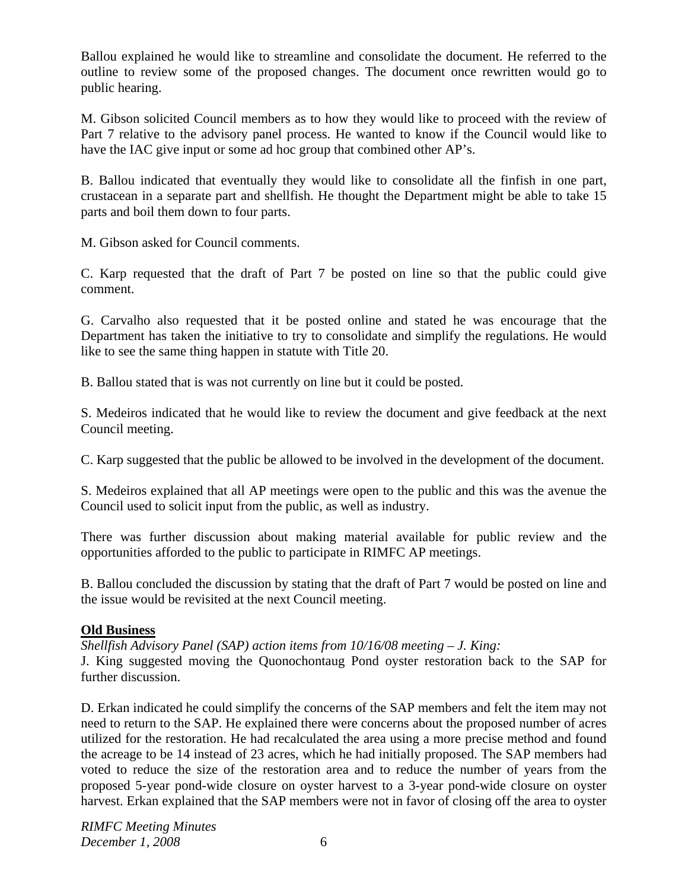Ballou explained he would like to streamline and consolidate the document. He referred to the outline to review some of the proposed changes. The document once rewritten would go to public hearing.

M. Gibson solicited Council members as to how they would like to proceed with the review of Part 7 relative to the advisory panel process. He wanted to know if the Council would like to have the IAC give input or some ad hoc group that combined other AP's.

B. Ballou indicated that eventually they would like to consolidate all the finfish in one part, crustacean in a separate part and shellfish. He thought the Department might be able to take 15 parts and boil them down to four parts.

M. Gibson asked for Council comments.

C. Karp requested that the draft of Part 7 be posted on line so that the public could give comment.

G. Carvalho also requested that it be posted online and stated he was encourage that the Department has taken the initiative to try to consolidate and simplify the regulations. He would like to see the same thing happen in statute with Title 20.

B. Ballou stated that is was not currently on line but it could be posted.

S. Medeiros indicated that he would like to review the document and give feedback at the next Council meeting.

C. Karp suggested that the public be allowed to be involved in the development of the document.

S. Medeiros explained that all AP meetings were open to the public and this was the avenue the Council used to solicit input from the public, as well as industry.

There was further discussion about making material available for public review and the opportunities afforded to the public to participate in RIMFC AP meetings.

B. Ballou concluded the discussion by stating that the draft of Part 7 would be posted on line and the issue would be revisited at the next Council meeting.

#### **Old Business**

*Shellfish Advisory Panel (SAP) action items from 10/16/08 meeting – J. King:* 

J. King suggested moving the Quonochontaug Pond oyster restoration back to the SAP for further discussion.

D. Erkan indicated he could simplify the concerns of the SAP members and felt the item may not need to return to the SAP. He explained there were concerns about the proposed number of acres utilized for the restoration. He had recalculated the area using a more precise method and found the acreage to be 14 instead of 23 acres, which he had initially proposed. The SAP members had voted to reduce the size of the restoration area and to reduce the number of years from the proposed 5-year pond-wide closure on oyster harvest to a 3-year pond-wide closure on oyster harvest. Erkan explained that the SAP members were not in favor of closing off the area to oyster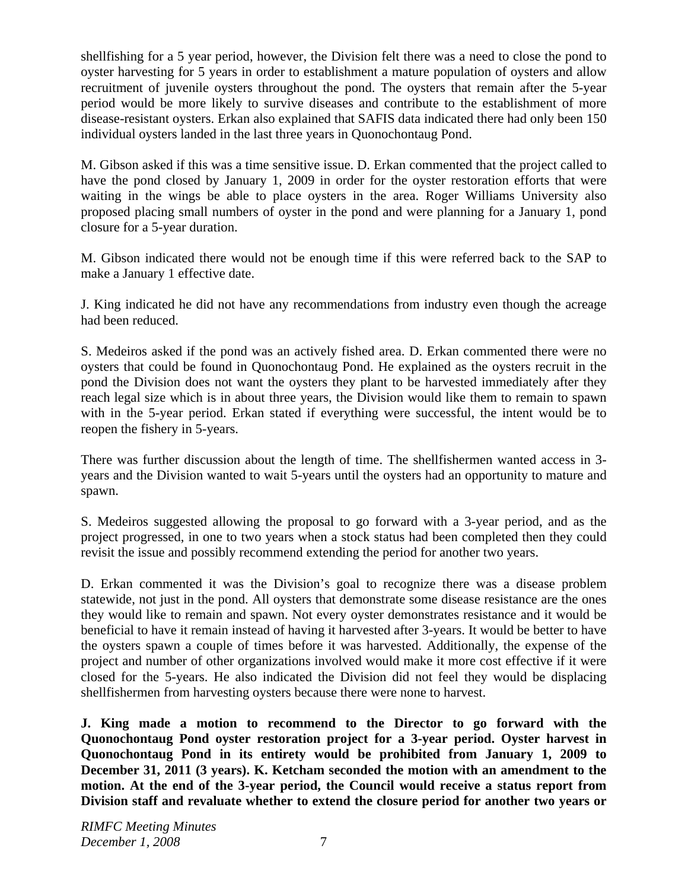shellfishing for a 5 year period, however, the Division felt there was a need to close the pond to oyster harvesting for 5 years in order to establishment a mature population of oysters and allow recruitment of juvenile oysters throughout the pond. The oysters that remain after the 5-year period would be more likely to survive diseases and contribute to the establishment of more disease-resistant oysters. Erkan also explained that SAFIS data indicated there had only been 150 individual oysters landed in the last three years in Quonochontaug Pond.

M. Gibson asked if this was a time sensitive issue. D. Erkan commented that the project called to have the pond closed by January 1, 2009 in order for the oyster restoration efforts that were waiting in the wings be able to place oysters in the area. Roger Williams University also proposed placing small numbers of oyster in the pond and were planning for a January 1, pond closure for a 5-year duration.

M. Gibson indicated there would not be enough time if this were referred back to the SAP to make a January 1 effective date.

J. King indicated he did not have any recommendations from industry even though the acreage had been reduced.

S. Medeiros asked if the pond was an actively fished area. D. Erkan commented there were no oysters that could be found in Quonochontaug Pond. He explained as the oysters recruit in the pond the Division does not want the oysters they plant to be harvested immediately after they reach legal size which is in about three years, the Division would like them to remain to spawn with in the 5-year period. Erkan stated if everything were successful, the intent would be to reopen the fishery in 5-years.

There was further discussion about the length of time. The shellfishermen wanted access in 3 years and the Division wanted to wait 5-years until the oysters had an opportunity to mature and spawn.

S. Medeiros suggested allowing the proposal to go forward with a 3-year period, and as the project progressed, in one to two years when a stock status had been completed then they could revisit the issue and possibly recommend extending the period for another two years.

D. Erkan commented it was the Division's goal to recognize there was a disease problem statewide, not just in the pond. All oysters that demonstrate some disease resistance are the ones they would like to remain and spawn. Not every oyster demonstrates resistance and it would be beneficial to have it remain instead of having it harvested after 3-years. It would be better to have the oysters spawn a couple of times before it was harvested. Additionally, the expense of the project and number of other organizations involved would make it more cost effective if it were closed for the 5-years. He also indicated the Division did not feel they would be displacing shellfishermen from harvesting oysters because there were none to harvest.

**J. King made a motion to recommend to the Director to go forward with the Quonochontaug Pond oyster restoration project for a 3-year period. Oyster harvest in Quonochontaug Pond in its entirety would be prohibited from January 1, 2009 to December 31, 2011 (3 years). K. Ketcham seconded the motion with an amendment to the motion. At the end of the 3-year period, the Council would receive a status report from Division staff and revaluate whether to extend the closure period for another two years or**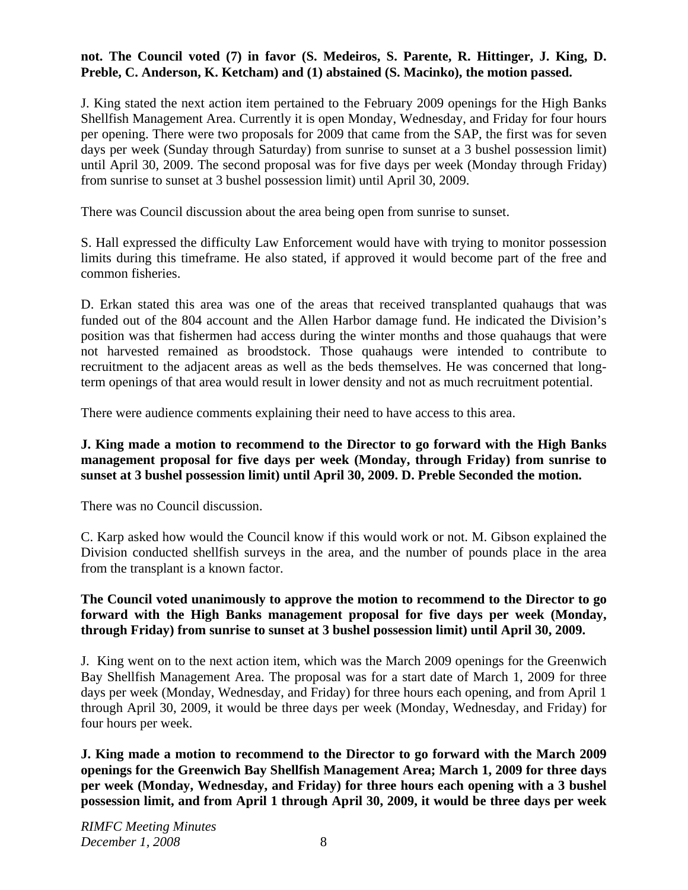# **not. The Council voted (7) in favor (S. Medeiros, S. Parente, R. Hittinger, J. King, D. Preble, C. Anderson, K. Ketcham) and (1) abstained (S. Macinko), the motion passed.**

J. King stated the next action item pertained to the February 2009 openings for the High Banks Shellfish Management Area. Currently it is open Monday, Wednesday, and Friday for four hours per opening. There were two proposals for 2009 that came from the SAP, the first was for seven days per week (Sunday through Saturday) from sunrise to sunset at a 3 bushel possession limit) until April 30, 2009. The second proposal was for five days per week (Monday through Friday) from sunrise to sunset at 3 bushel possession limit) until April 30, 2009.

There was Council discussion about the area being open from sunrise to sunset.

S. Hall expressed the difficulty Law Enforcement would have with trying to monitor possession limits during this timeframe. He also stated, if approved it would become part of the free and common fisheries.

D. Erkan stated this area was one of the areas that received transplanted quahaugs that was funded out of the 804 account and the Allen Harbor damage fund. He indicated the Division's position was that fishermen had access during the winter months and those quahaugs that were not harvested remained as broodstock. Those quahaugs were intended to contribute to recruitment to the adjacent areas as well as the beds themselves. He was concerned that longterm openings of that area would result in lower density and not as much recruitment potential.

There were audience comments explaining their need to have access to this area.

## **J. King made a motion to recommend to the Director to go forward with the High Banks management proposal for five days per week (Monday, through Friday) from sunrise to sunset at 3 bushel possession limit) until April 30, 2009. D. Preble Seconded the motion.**

There was no Council discussion.

C. Karp asked how would the Council know if this would work or not. M. Gibson explained the Division conducted shellfish surveys in the area, and the number of pounds place in the area from the transplant is a known factor.

### **The Council voted unanimously to approve the motion to recommend to the Director to go forward with the High Banks management proposal for five days per week (Monday, through Friday) from sunrise to sunset at 3 bushel possession limit) until April 30, 2009.**

J. King went on to the next action item, which was the March 2009 openings for the Greenwich Bay Shellfish Management Area. The proposal was for a start date of March 1, 2009 for three days per week (Monday, Wednesday, and Friday) for three hours each opening, and from April 1 through April 30, 2009, it would be three days per week (Monday, Wednesday, and Friday) for four hours per week.

**J. King made a motion to recommend to the Director to go forward with the March 2009 openings for the Greenwich Bay Shellfish Management Area; March 1, 2009 for three days per week (Monday, Wednesday, and Friday) for three hours each opening with a 3 bushel possession limit, and from April 1 through April 30, 2009, it would be three days per week**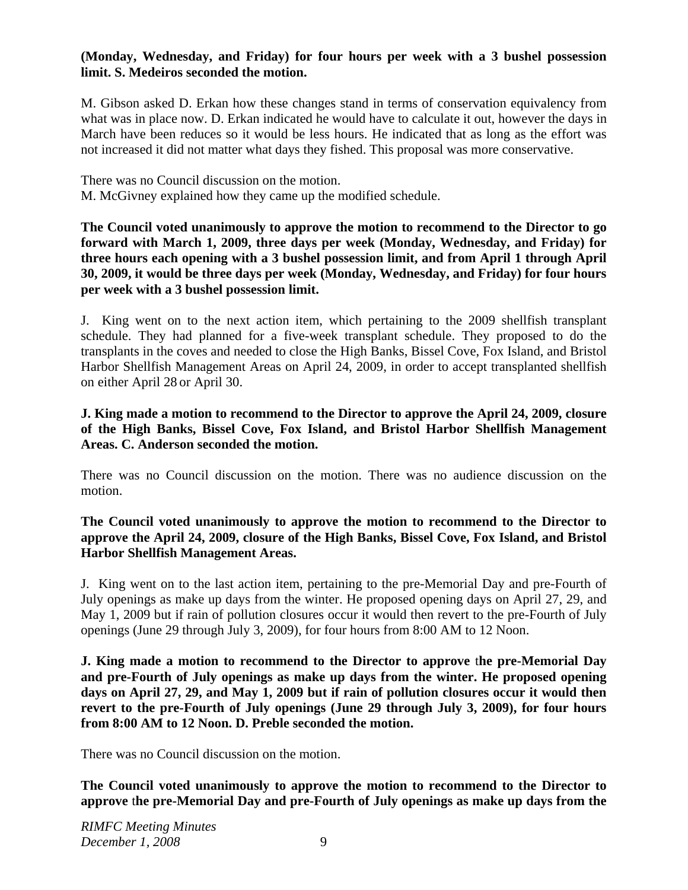### **(Monday, Wednesday, and Friday) for four hours per week with a 3 bushel possession limit. S. Medeiros seconded the motion.**

M. Gibson asked D. Erkan how these changes stand in terms of conservation equivalency from what was in place now. D. Erkan indicated he would have to calculate it out, however the days in March have been reduces so it would be less hours. He indicated that as long as the effort was not increased it did not matter what days they fished. This proposal was more conservative.

There was no Council discussion on the motion. M. McGivney explained how they came up the modified schedule.

**The Council voted unanimously to approve the motion to recommend to the Director to go forward with March 1, 2009, three days per week (Monday, Wednesday, and Friday) for three hours each opening with a 3 bushel possession limit, and from April 1 through April 30, 2009, it would be three days per week (Monday, Wednesday, and Friday) for four hours per week with a 3 bushel possession limit.**

J. King went on to the next action item, which pertaining to the 2009 shellfish transplant schedule. They had planned for a five-week transplant schedule. They proposed to do the transplants in the coves and needed to close the High Banks, Bissel Cove, Fox Island, and Bristol Harbor Shellfish Management Areas on April 24, 2009, in order to accept transplanted shellfish on either April 28 or April 30.

**J. King made a motion to recommend to the Director to approve the April 24, 2009, closure of the High Banks, Bissel Cove, Fox Island, and Bristol Harbor Shellfish Management Areas. C. Anderson seconded the motion.** 

There was no Council discussion on the motion. There was no audience discussion on the motion.

**The Council voted unanimously to approve the motion to recommend to the Director to approve the April 24, 2009, closure of the High Banks, Bissel Cove, Fox Island, and Bristol Harbor Shellfish Management Areas.**

J. King went on to the last action item, pertaining to the pre-Memorial Day and pre-Fourth of July openings as make up days from the winter. He proposed opening days on April 27, 29, and May 1, 2009 but if rain of pollution closures occur it would then revert to the pre-Fourth of July openings (June 29 through July 3, 2009), for four hours from 8:00 AM to 12 Noon.

**J. King made a motion to recommend to the Director to approve** t**he pre-Memorial Day and pre-Fourth of July openings as make up days from the winter. He proposed opening days on April 27, 29, and May 1, 2009 but if rain of pollution closures occur it would then revert to the pre-Fourth of July openings (June 29 through July 3, 2009), for four hours from 8:00 AM to 12 Noon. D. Preble seconded the motion.** 

There was no Council discussion on the motion.

**The Council voted unanimously to approve the motion to recommend to the Director to approve** t**he pre-Memorial Day and pre-Fourth of July openings as make up days from the**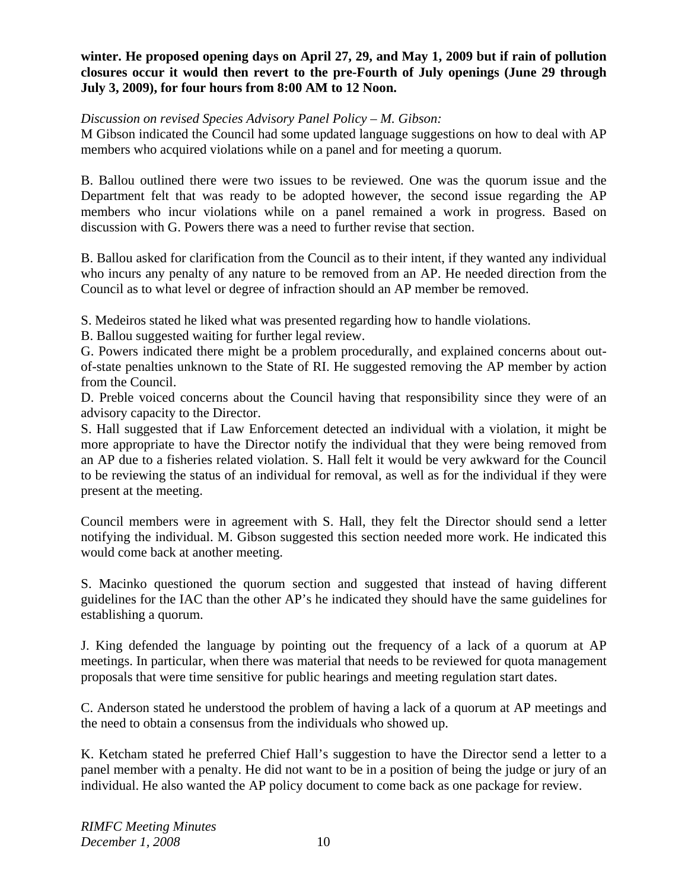**winter. He proposed opening days on April 27, 29, and May 1, 2009 but if rain of pollution closures occur it would then revert to the pre-Fourth of July openings (June 29 through July 3, 2009), for four hours from 8:00 AM to 12 Noon.**

*Discussion on revised Species Advisory Panel Policy – M. Gibson:* 

M Gibson indicated the Council had some updated language suggestions on how to deal with AP members who acquired violations while on a panel and for meeting a quorum.

B. Ballou outlined there were two issues to be reviewed. One was the quorum issue and the Department felt that was ready to be adopted however, the second issue regarding the AP members who incur violations while on a panel remained a work in progress. Based on discussion with G. Powers there was a need to further revise that section.

B. Ballou asked for clarification from the Council as to their intent, if they wanted any individual who incurs any penalty of any nature to be removed from an AP. He needed direction from the Council as to what level or degree of infraction should an AP member be removed.

S. Medeiros stated he liked what was presented regarding how to handle violations.

B. Ballou suggested waiting for further legal review.

G. Powers indicated there might be a problem procedurally, and explained concerns about outof-state penalties unknown to the State of RI. He suggested removing the AP member by action from the Council.

D. Preble voiced concerns about the Council having that responsibility since they were of an advisory capacity to the Director.

S. Hall suggested that if Law Enforcement detected an individual with a violation, it might be more appropriate to have the Director notify the individual that they were being removed from an AP due to a fisheries related violation. S. Hall felt it would be very awkward for the Council to be reviewing the status of an individual for removal, as well as for the individual if they were present at the meeting.

Council members were in agreement with S. Hall, they felt the Director should send a letter notifying the individual. M. Gibson suggested this section needed more work. He indicated this would come back at another meeting.

S. Macinko questioned the quorum section and suggested that instead of having different guidelines for the IAC than the other AP's he indicated they should have the same guidelines for establishing a quorum.

J. King defended the language by pointing out the frequency of a lack of a quorum at AP meetings. In particular, when there was material that needs to be reviewed for quota management proposals that were time sensitive for public hearings and meeting regulation start dates.

C. Anderson stated he understood the problem of having a lack of a quorum at AP meetings and the need to obtain a consensus from the individuals who showed up.

K. Ketcham stated he preferred Chief Hall's suggestion to have the Director send a letter to a panel member with a penalty. He did not want to be in a position of being the judge or jury of an individual. He also wanted the AP policy document to come back as one package for review.